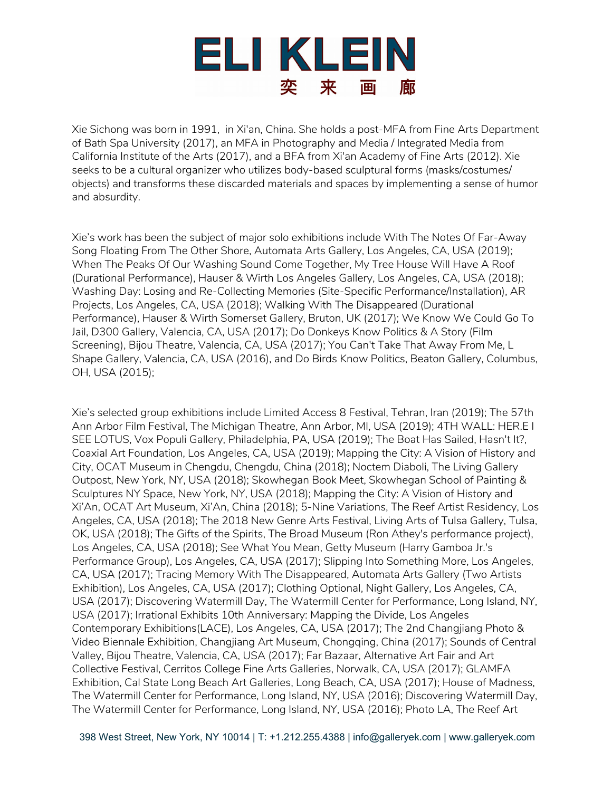

Xie Sichong was born in 1991, in Xi'an, China. She holds a post-MFA from Fine Arts Department of Bath Spa University (2017), an MFA in Photography and Media / Integrated Media from California Institute of the Arts (2017), and a BFA from Xi'an Academy of Fine Arts (2012). Xie seeks to be a cultural organizer who utilizes body-based sculptural forms (masks/costumes/ objects) and transforms these discarded materials and spaces by implementing a sense of humor and absurdity.

Xie's work has been the subject of major solo exhibitions include With The Notes Of Far-Away Song Floating From The Other Shore, Automata Arts Gallery, Los Angeles, CA, USA (2019); When The Peaks Of Our Washing Sound Come Together, My Tree House Will Have A Roof (Durational Performance), Hauser & Wirth Los Angeles Gallery, Los Angeles, CA, USA (2018); Washing Day: Losing and Re-Collecting Memories (Site-Specific Performance/Installation), AR Projects, Los Angeles, CA, USA (2018); Walking With The Disappeared (Durational Performance), Hauser & Wirth Somerset Gallery, Bruton, UK (2017); We Know We Could Go To Jail, D300 Gallery, Valencia, CA, USA (2017); Do Donkeys Know Politics & A Story (Film Screening), Bijou Theatre, Valencia, CA, USA (2017); You Can't Take That Away From Me, L Shape Gallery, Valencia, CA, USA (2016), and Do Birds Know Politics, Beaton Gallery, Columbus, OH, USA (2015);

Xie's selected group exhibitions include Limited Access 8 Festival, Tehran, Iran (2019); The 57th Ann Arbor Film Festival, The Michigan Theatre, Ann Arbor, MI, USA (2019); 4TH WALL: HER.E I SEE LOTUS, Vox Populi Gallery, Philadelphia, PA, USA (2019); The Boat Has Sailed, Hasn't It?, Coaxial Art Foundation, Los Angeles, CA, USA (2019); Mapping the City: A Vision of History and City, OCAT Museum in Chengdu, Chengdu, China (2018); Noctem Diaboli, The Living Gallery Outpost, New York, NY, USA (2018); Skowhegan Book Meet, Skowhegan School of Painting & Sculptures NY Space, New York, NY, USA (2018); Mapping the City: A Vision of History and Xi'An, OCAT Art Museum, Xi'An, China (2018); 5-Nine Variations, The Reef Artist Residency, Los Angeles, CA, USA (2018); The 2018 New Genre Arts Festival, Living Arts of Tulsa Gallery, Tulsa, OK, USA (2018); The Gifts of the Spirits, The Broad Museum (Ron Athey's performance project), Los Angeles, CA, USA (2018); See What You Mean, Getty Museum (Harry Gamboa Jr.'s Performance Group), Los Angeles, CA, USA (2017); Slipping Into Something More, Los Angeles, CA, USA (2017); Tracing Memory With The Disappeared, Automata Arts Gallery (Two Artists Exhibition), Los Angeles, CA, USA (2017); Clothing Optional, Night Gallery, Los Angeles, CA, USA (2017); Discovering Watermill Day, The Watermill Center for Performance, Long Island, NY, USA (2017); Irrational Exhibits 10th Anniversary: Mapping the Divide, Los Angeles Contemporary Exhibitions(LACE), Los Angeles, CA, USA (2017); The 2nd Changjiang Photo & Video Biennale Exhibition, Changjiang Art Museum, Chongqing, China (2017); Sounds of Central Valley, Bijou Theatre, Valencia, CA, USA (2017); Far Bazaar, Alternative Art Fair and Art Collective Festival, Cerritos College Fine Arts Galleries, Norwalk, CA, USA (2017); GLAMFA Exhibition, Cal State Long Beach Art Galleries, Long Beach, CA, USA (2017); House of Madness, The Watermill Center for Performance, Long Island, NY, USA (2016); Discovering Watermill Day, The Watermill Center for Performance, Long Island, NY, USA (2016); Photo LA, The Reef Art

398 West Street, New York, NY 10014 | T: +1.212.255.4388 | info@galleryek.com | www.galleryek.com